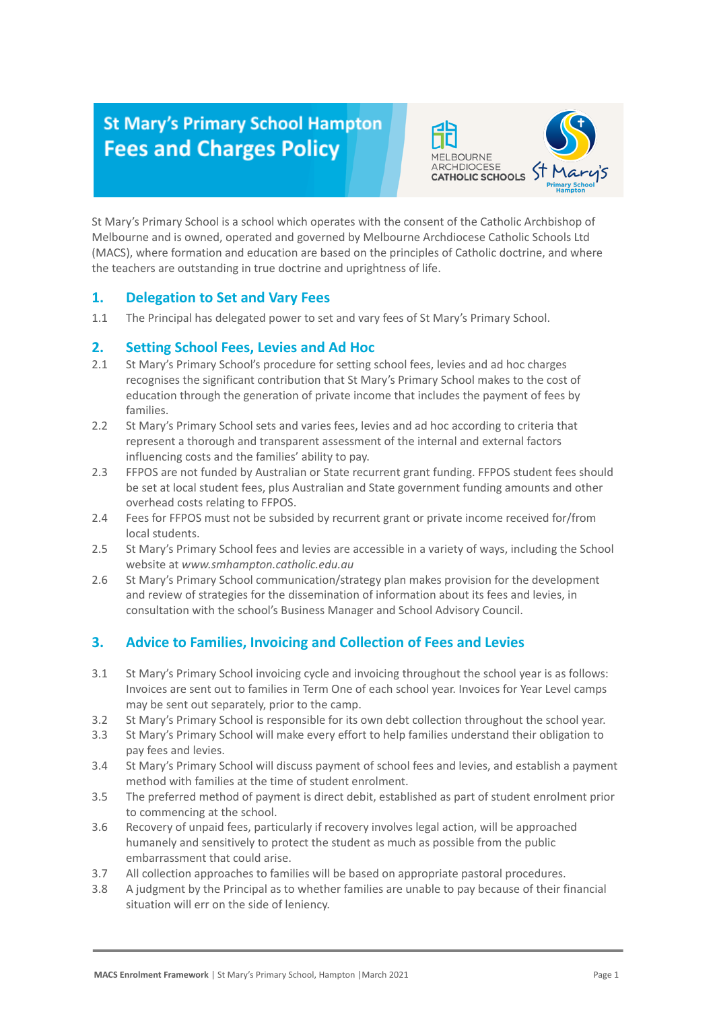# **St Mary's Primary School Hampton Fees and Charges Policy**



St Mary's Primary School is a school which operates with the consent of the Catholic Archbishop of Melbourne and is owned, operated and governed by Melbourne Archdiocese Catholic Schools Ltd (MACS), where formation and education are based on the principles of Catholic doctrine, and where the teachers are outstanding in true doctrine and uprightness of life.

### **1. Delegation to Set and Vary Fees**

1.1 The Principal has delegated power to set and vary fees of St Mary's Primary School.

### **2. Setting School Fees, Levies and Ad Hoc**

- 2.1 St Mary's Primary School's procedure for setting school fees, levies and ad hoc charges recognises the significant contribution that St Mary's Primary School makes to the cost of education through the generation of private income that includes the payment of fees by families.
- 2.2 St Mary's Primary School sets and varies fees, levies and ad hoc according to criteria that represent a thorough and transparent assessment of the internal and external factors influencing costs and the families' ability to pay.
- 2.3 FFPOS are not funded by Australian or State recurrent grant funding. FFPOS student fees should be set at local student fees, plus Australian and State government funding amounts and other overhead costs relating to FFPOS.
- 2.4 Fees for FFPOS must not be subsided by recurrent grant or private income received for/from local students.
- 2.5 St Mary's Primary School fees and levies are accessible in a variety of ways, including the School website at *www.smhampton.catholic.edu.au*
- 2.6 St Mary's Primary School communication/strategy plan makes provision for the development and review of strategies for the dissemination of information about its fees and levies, in consultation with the school's Business Manager and School Advisory Council.

## **3. Advice to Families, Invoicing and Collection of Fees and Levies**

- 3.1 St Mary's Primary School invoicing cycle and invoicing throughout the school year is as follows: Invoices are sent out to families in Term One of each school year. Invoices for Year Level camps may be sent out separately, prior to the camp.
- 3.2 St Mary's Primary School is responsible for its own debt collection throughout the school year.
- 3.3 St Mary's Primary School will make every effort to help families understand their obligation to pay fees and levies.
- 3.4 St Mary's Primary School will discuss payment of school fees and levies, and establish a payment method with families at the time of student enrolment.
- 3.5 The preferred method of payment is direct debit, established as part of student enrolment prior to commencing at the school.
- 3.6 Recovery of unpaid fees, particularly if recovery involves legal action, will be approached humanely and sensitively to protect the student as much as possible from the public embarrassment that could arise.
- 3.7 All collection approaches to families will be based on appropriate pastoral procedures.
- 3.8 A judgment by the Principal as to whether families are unable to pay because of their financial situation will err on the side of leniency.